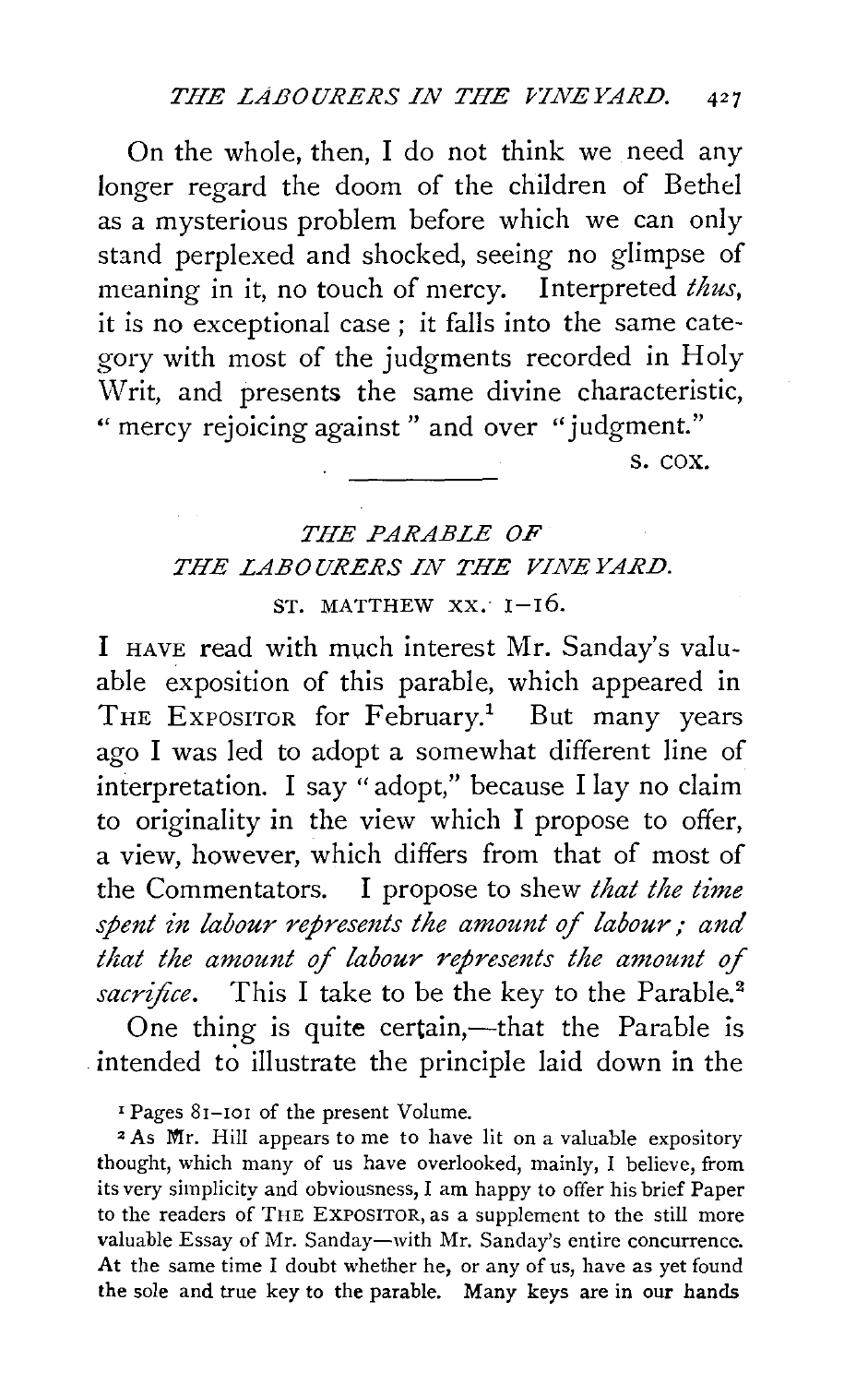On the whole, then, I do not think we need any longer regard the doom of the children of Bethel as a mysterious problem before which we can only stand perplexed and shocked, seeing no glimpse of meaning in it, no touch of mercy. Interpreted *thus,*  it is no exceptional case ; it falls into the same category with most of the judgments recorded in Holy Writ, and presents the same divine characteristic, "mercy rejoicing against" and over "judgment."

s. cox.

## *THE PARABLE OF THE LABOURERS IN THE VINE YARD.*   $ST$ . MATTHEW  $XX$ .  $I-I6$ .

I HAVE read with much interest Mr. Sanday's valuable exposition of this parable, which appeared in THE EXPOSITOR for February.<sup>1</sup> But many years ago I was led to adopt a somewhat different line of interpretation. I say "adopt," because I lay no claim to originality in the view which I propose to offer, a view, however, which differs from that of most of the Commentators. I propose to shew *that the time spent in labour represents the amount of labour; and that the amount of labour represents the amount of*  sacrifice. This I take to be the key to the Parable.<sup>2</sup>

One thing is quite certain,—that the Parable is intended to illustrate the principle laid down in the

<sup>1</sup>Pages Sr-ror of the present Volume.

2 As Mr. Hill appears to me to have lit on a valuable expository thought, which many of us have overlooked, mainly, I believe, from its very simplicity and obviousness, I am happy to offer his brief Paper to the readers of THE EXPOSITOR, as a supplement to the still more valuable Essay of Mr. Sanday-with Mr. Sanday's entire concurrence. At the same time I doubt whether he, or any of us, have as yet found the sole and true key to the parable. Many keys are in our hands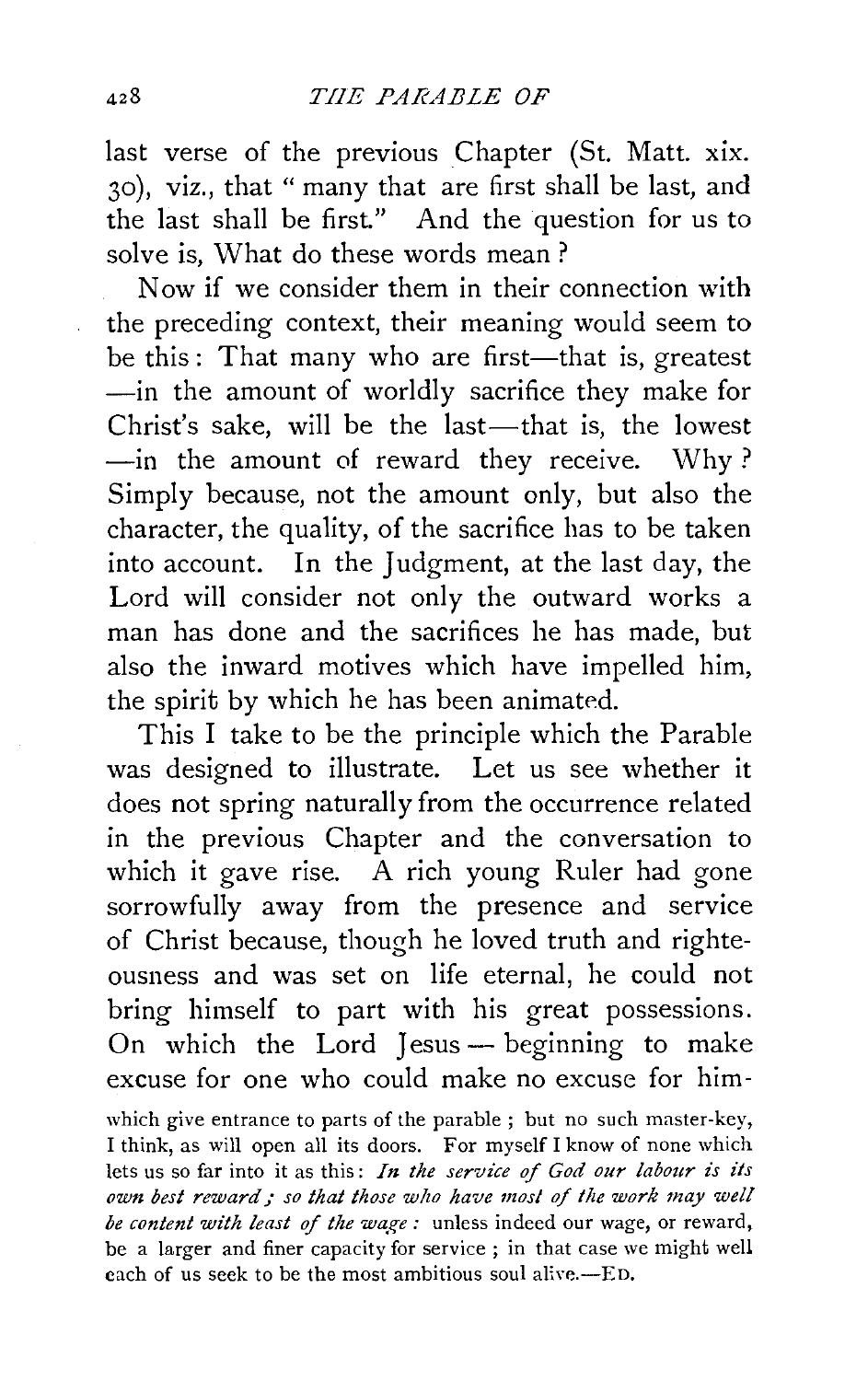last verse of the previous Chapter (St. Matt. xix. 30), viz., that "many that are first shall be last, and the last shall be first." And the question for us to solve is, What do these words mean ?

Now if we consider them in their connection with the preceding context, their meaning would seem to be this: That many who are first—that is, greatest -in the amount of worldly sacrifice they make for Christ's sake, will be the last-that is, the lowest -in the amount of reward they receive. Why? Simply because, not the amount only, but also the character, the quality, of the sacrifice has to be taken into account. In the Judgment, at the last day, the Lord will consider not only the outward works a man has done and the sacrifices he has made, but also the inward motives which have impelled him, the spirit by which he has been animated.

This I take to be the principle which the Parable was designed to illustrate. Let us see whether it does not spring naturally from the occurrence related in the previous Chapter and the conversation to which it gave rise. A rich young Ruler had gone sorrowfully away from the presence and service of Christ because, though he loved truth and righteousness and was set on life eternal, he could not bring himself to part with his great possessions. On which the Lord Jesus - beginning to make excuse for one who could make no excuse for him-

which give entrance to parts of the parable ; but no such master-key, I think, as will open all its doors. For myself I know of none which lets us so far into it as this: *In the service of God our labour is its*  own best reward; so that those who have most of the work may well *be content with least of the wage:* unless indeed our wage, or reward, be a larger and finer capacity for service ; in that case we might well each of us seek to be the most ambitious soul alive.—ED.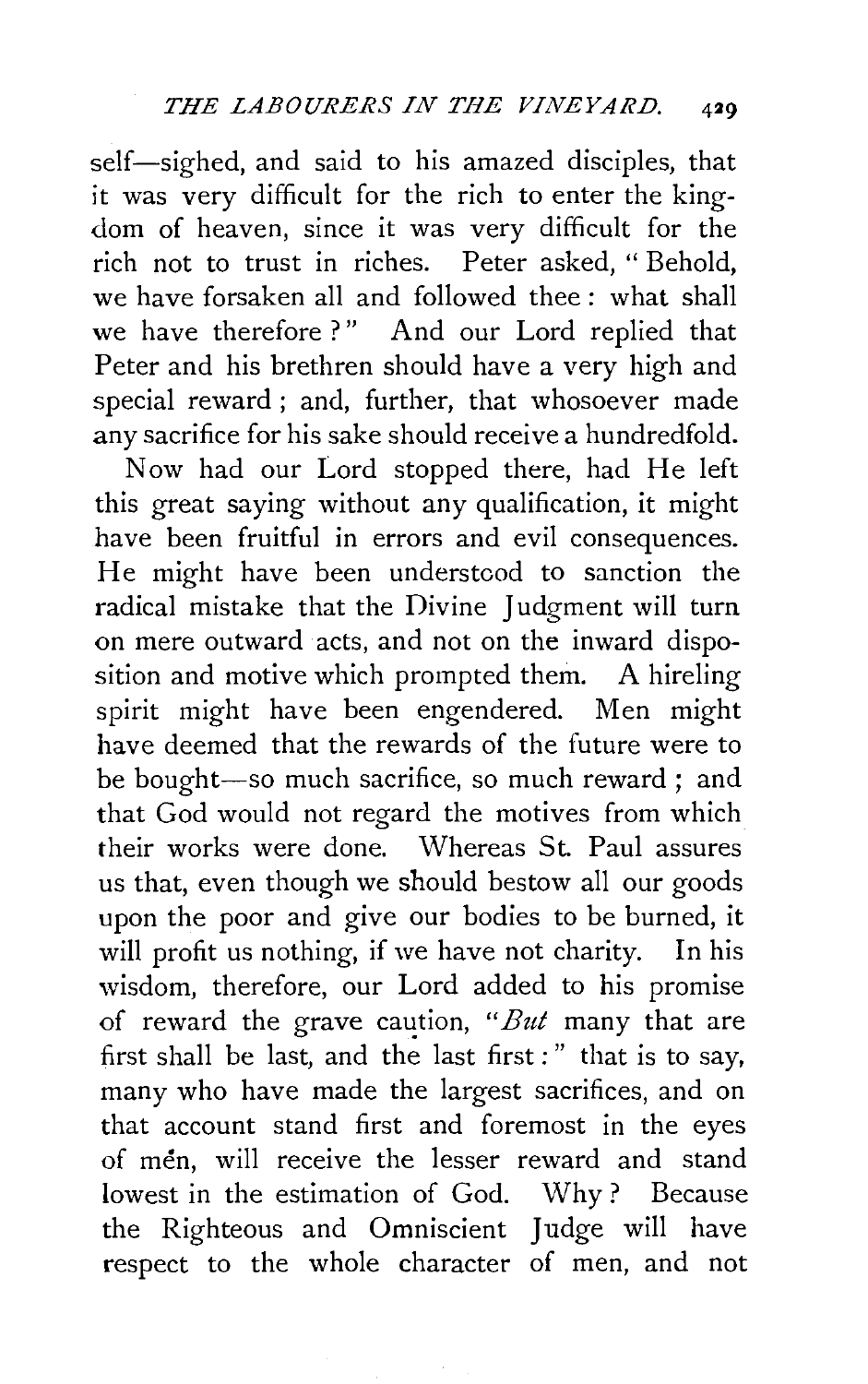self-sighed, and said to his amazed disciples, that it was very difficult for the rich to enter the kingdom of heaven, since it was very difficult for the rich not to trust in riches. Peter asked, " Behold, we have forsaken all and followed thee: what shall we have therefore?" And our Lord replied that Peter and his brethren should have a very high and special reward; and, further, that whosoever made any sacrifice for his sake should receive a hundredfold.

Now had our Lord stopped there, had He left this great saying without any qualification, it might have been fruitful in errors and evil consequences. He might have been understood to sanction the radical mistake that the Divine Judgment will turn on mere outward acts, and not on the inward disposition and motive which prompted them. A hireling spirit might have been engendered. Men might have deemed that the rewards of the future were to be bought-so much sacrifice, so much reward ; and that God would not regard the motives from which their works were done. Whereas St. Paul assures us that, even though we should bestow all our goods upon the poor and give our bodies to be burned, it will profit us nothing, if we have not charity. In his wisdom, therefore, our Lord added to his promise of reward the grave caution, "But many that are first shall be last, and the last first :" that is to say, many who have made the largest sacrifices, and on that account stand first and foremost in the eyes of men, will receive the lesser reward and stand lowest in the estimation of God. Why ? Because the Righteous and Omniscient Judge will have respect to the whole character of men, and not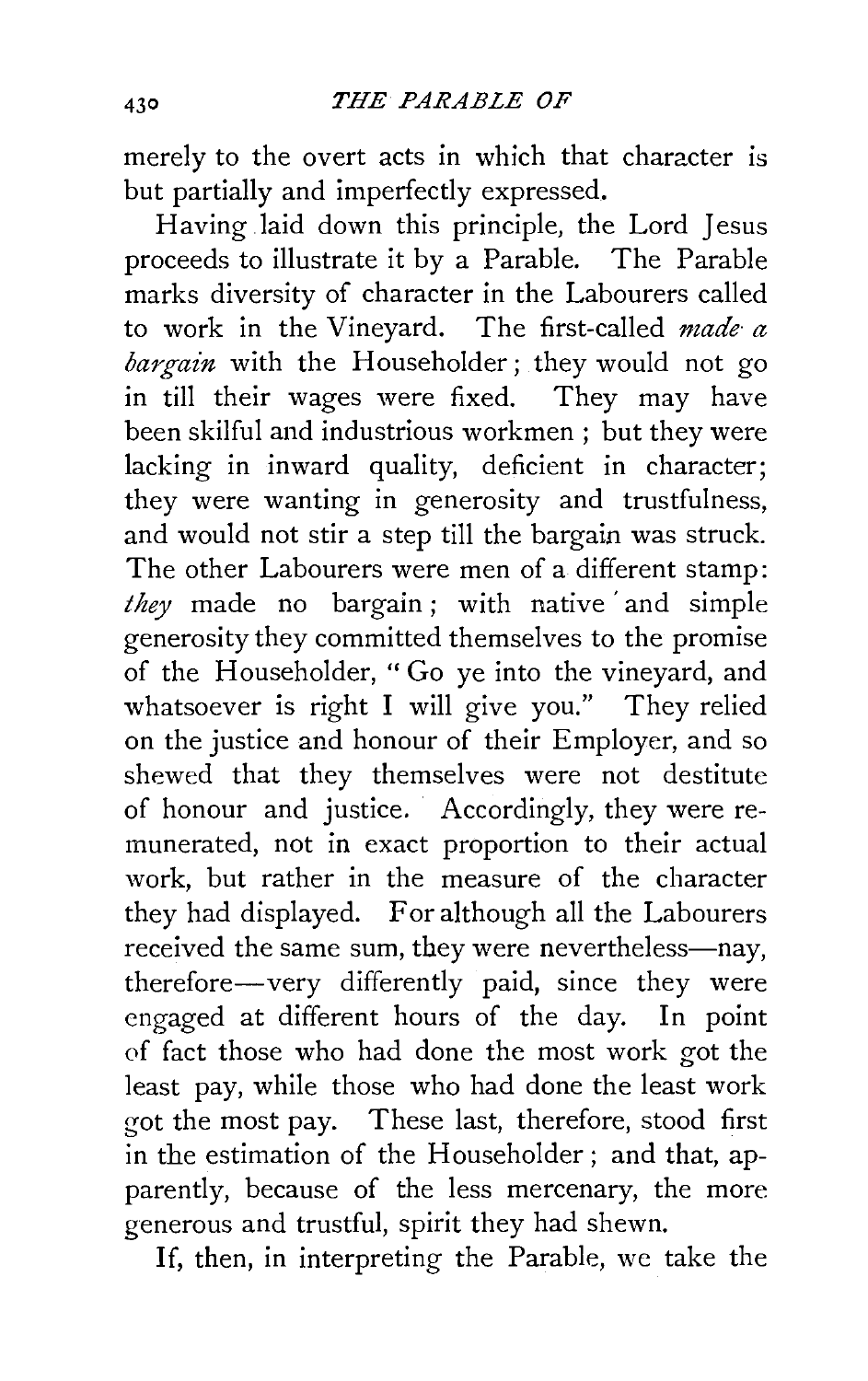merely to the overt acts in which that character is but partially and imperfectly expressed.

Having laid down this principle, the Lord Jesus proceeds to illustrate it by a Parable. The Parable marks diversity of character in the Labourers called to work in the Vineyard. The first-called *made a bargain* with the Householder; they would not go in till their wages were fixed. They may have been skilful and industrious workmen ; but they were lacking in inward quality, deficient in character; they were wanting in generosity and trustfulness, and would not stir a step till the bargain was struck. The other Labourers were men of a different stamp: *they* made no bargain ; with native 'and simple generosity they committed themselves to the promise of the Householder, "Go ye into the vineyard, and whatsoever is right I will give you." They relied on the justice and honour of their Employer, and so shewed that they themselves were not destitute of honour and justice. Accordingly, they were remunerated, not in exact proportion to their actual work, but rather in the measure of the character they had displayed. For although all the Labourers received the same sum, they were nevertheless-nay, therefore-very differently paid, since they were engaged at different hours of the day. In point of fact those who had done the most work got the least pay, while those who had done the least work got the most pay. These last, therefore, stood first in the estimation of the Householder ; and that, apparently, because of the less mercenary, the more generous and trustful, spirit they had shewn.

If, then, in interpreting the Parable, we take the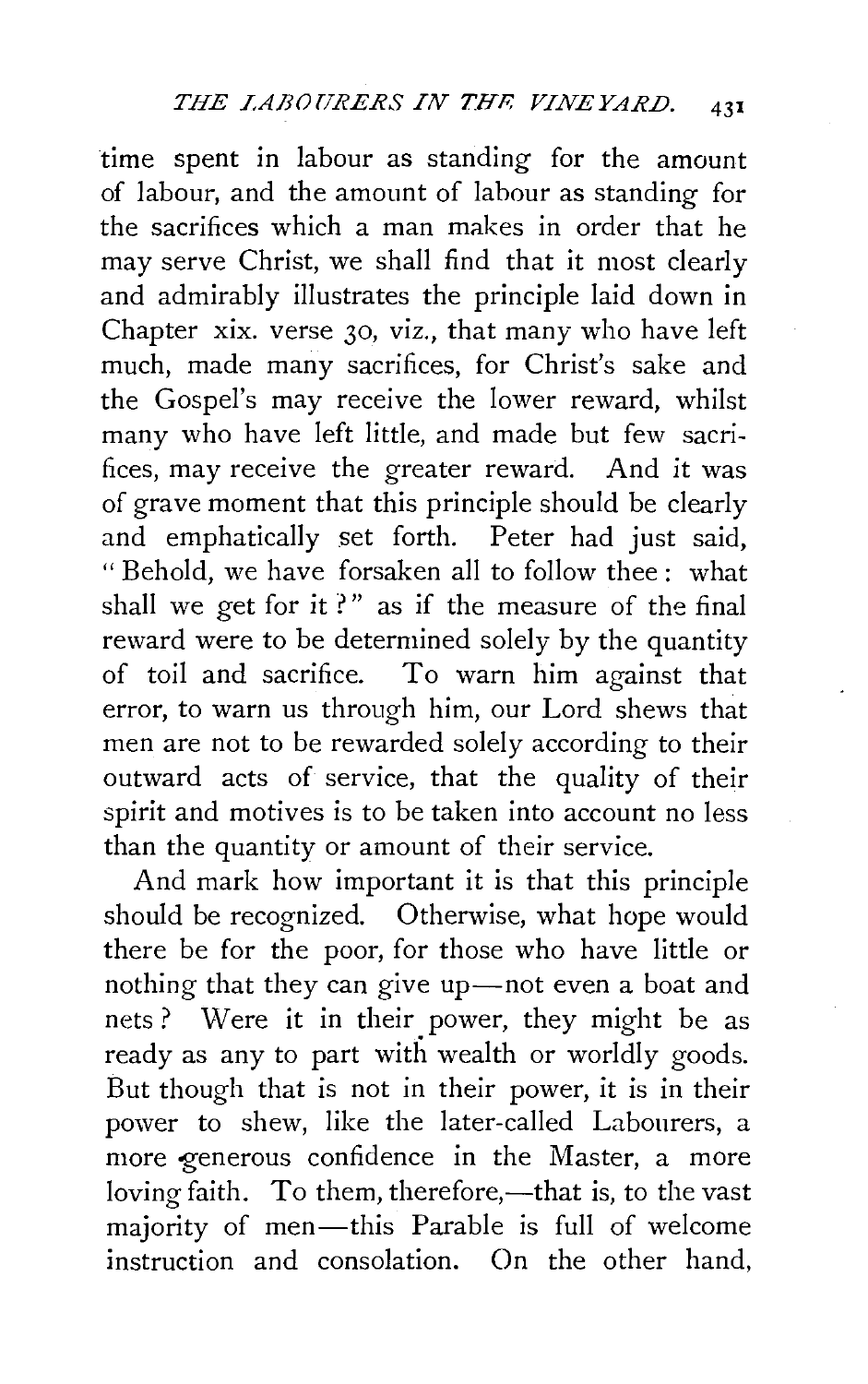time spent in labour as standing for the amount of labour, and the amount of labour as standing for the sacrifices which a man makes in order that he may serve Christ, we shall find that it most clearly and admirably illustrates the principle laid down in Chapter xix. verse 30, viz., that many who have left much, made many sacrifices, for Christ's sake and the Gospel's may receive the lower reward, whilst many who have left little, and made but few sacrifices, may receive the greater reward. And it was of grave moment that this principle should be clearly and emphatically set forth. Peter had just said, " Behold, we have forsaken all to follow thee : what shall we get for it?" as if the measure of the final reward were to be determined solely by the quantity of toil and sacrifice. To warn him against that error, to warn us through him, our Lord shews that men are not to be rewarded solely according to their outward acts of service, that the quality of their spirit and motives is to be taken into account no less than the quantity or amount of their service.

And mark how important it is that this principle should be recognized. Otherwise, what hope would there be for the poor, for those who have little or nothing that they can give up-not even a boat and nets ? Were it in their power, they might be as ready as any to part with wealth or worldly goods. But though that is not in their power, it is in their power to shew, like the later-called Labourers, a more generous confidence in the Master, a more loving faith. To them, therefore,—that is, to the vast majority of men-this Parable is full of welcome instruction and consolation. On the other hand,